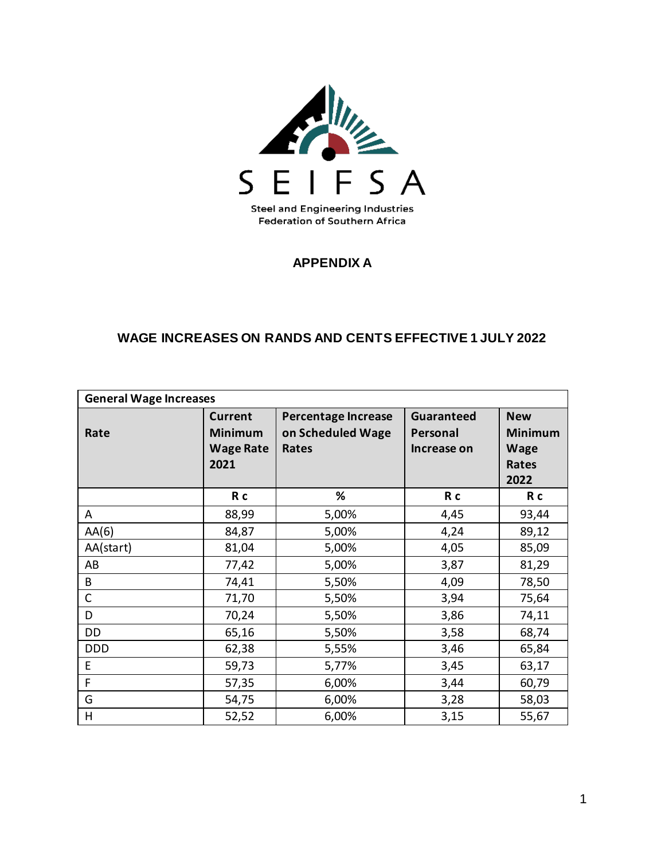

#### **APPENDIX A**

#### **WAGE INCREASES ON RANDS AND CENTS EFFECTIVE 1 JULY 2022**

| <b>General Wage Increases</b> |                                                              |                                                          |                                              |                                                              |  |
|-------------------------------|--------------------------------------------------------------|----------------------------------------------------------|----------------------------------------------|--------------------------------------------------------------|--|
| Rate                          | <b>Current</b><br><b>Minimum</b><br><b>Wage Rate</b><br>2021 | <b>Percentage Increase</b><br>on Scheduled Wage<br>Rates | <b>Guaranteed</b><br>Personal<br>Increase on | <b>New</b><br><b>Minimum</b><br><b>Wage</b><br>Rates<br>2022 |  |
|                               | R c                                                          | %                                                        | R <sub>c</sub>                               | R c                                                          |  |
| A                             | 88,99                                                        | 5,00%                                                    | 4,45                                         | 93,44                                                        |  |
| AA(6)                         | 84,87                                                        | 5,00%                                                    | 4,24                                         | 89,12                                                        |  |
| AA(start)                     | 81,04                                                        | 5,00%                                                    | 4,05                                         | 85,09                                                        |  |
| AB                            | 77,42                                                        | 5,00%                                                    | 3,87                                         | 81,29                                                        |  |
| B                             | 74,41                                                        | 5,50%                                                    | 4,09                                         | 78,50                                                        |  |
| $\mathsf{C}$                  | 71,70                                                        | 5,50%                                                    | 3,94                                         | 75,64                                                        |  |
| D                             | 70,24                                                        | 5,50%                                                    | 3,86                                         | 74,11                                                        |  |
| DD                            | 65,16                                                        | 5,50%                                                    | 3,58                                         | 68,74                                                        |  |
| <b>DDD</b>                    | 62,38                                                        | 5,55%                                                    | 3,46                                         | 65,84                                                        |  |
| E                             | 59,73                                                        | 5,77%                                                    | 3,45                                         | 63,17                                                        |  |
| F                             | 57,35                                                        | 6,00%                                                    | 3,44                                         | 60,79                                                        |  |
| G                             | 54,75                                                        | 6,00%                                                    | 3,28                                         | 58,03                                                        |  |
| H                             | 52,52                                                        | 6,00%                                                    | 3,15                                         | 55,67                                                        |  |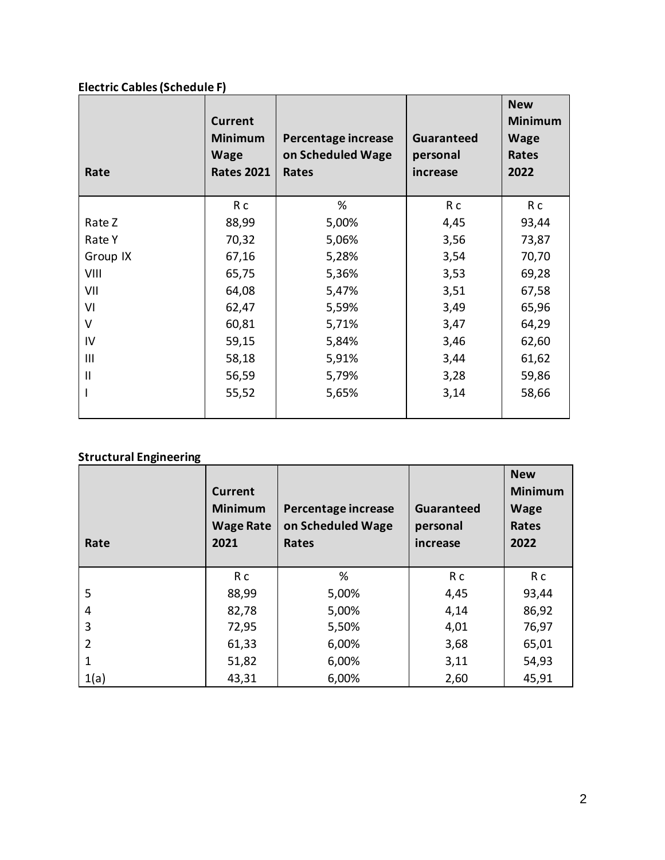# **Electric Cables (Schedule F)**

| Rate          | <b>Current</b><br><b>Minimum</b><br><b>Wage</b><br><b>Rates 2021</b> | Percentage increase<br>on Scheduled Wage<br>Rates | <b>Guaranteed</b><br>personal<br>increase | <b>New</b><br><b>Minimum</b><br><b>Wage</b><br>Rates<br>2022 |
|---------------|----------------------------------------------------------------------|---------------------------------------------------|-------------------------------------------|--------------------------------------------------------------|
|               | R c                                                                  | %                                                 | R c                                       | R c                                                          |
| Rate Z        | 88,99                                                                | 5,00%                                             | 4,45                                      | 93,44                                                        |
| Rate Y        | 70,32                                                                | 5,06%                                             | 3,56                                      | 73,87                                                        |
| Group IX      | 67,16                                                                | 5,28%                                             | 3,54                                      | 70,70                                                        |
| VIII          | 65,75                                                                | 5,36%                                             | 3,53                                      | 69,28                                                        |
| VII           | 64,08                                                                | 5,47%                                             | 3,51                                      | 67,58                                                        |
| VI            | 62,47                                                                | 5,59%                                             | 3,49                                      | 65,96                                                        |
| V             | 60,81                                                                | 5,71%                                             | 3,47                                      | 64,29                                                        |
| IV            | 59,15                                                                | 5,84%                                             | 3,46                                      | 62,60                                                        |
| Ш             | 58,18                                                                | 5,91%                                             | 3,44                                      | 61,62                                                        |
| $\mathsf{II}$ | 56,59                                                                | 5,79%                                             | 3,28                                      | 59,86                                                        |
|               | 55,52                                                                | 5,65%                                             | 3,14                                      | 58,66                                                        |

# **Structural Engineering**

| Rate          | <b>Current</b><br><b>Minimum</b><br><b>Wage Rate</b><br>2021 | Percentage increase<br>on Scheduled Wage<br>Rates | <b>Guaranteed</b><br>personal<br>increase | <b>New</b><br><b>Minimum</b><br><b>Wage</b><br>Rates<br>2022 |
|---------------|--------------------------------------------------------------|---------------------------------------------------|-------------------------------------------|--------------------------------------------------------------|
|               | R c                                                          | %                                                 | R c                                       | R c                                                          |
| 5             | 88,99                                                        | 5,00%                                             | 4,45                                      | 93,44                                                        |
| 4             | 82,78                                                        | 5,00%                                             | 4,14                                      | 86,92                                                        |
| 3             | 72,95                                                        | 5,50%                                             | 4,01                                      | 76,97                                                        |
| $\mathcal{P}$ | 61,33                                                        | 6,00%                                             | 3,68                                      | 65,01                                                        |
|               | 51,82                                                        | 6,00%                                             | 3,11                                      | 54,93                                                        |
| 1(a)          | 43,31                                                        | 6,00%                                             | 2,60                                      | 45,91                                                        |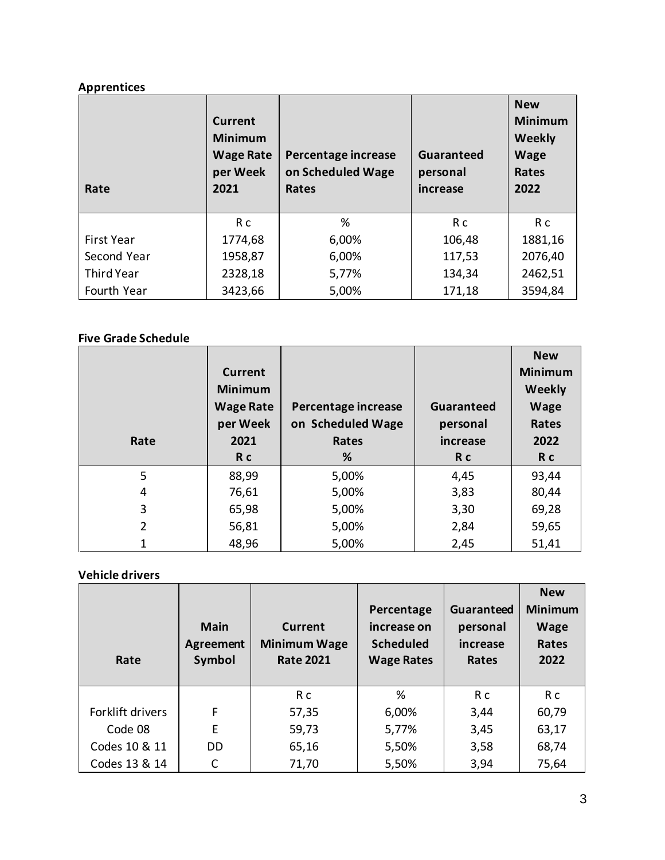# **Apprentices**

| Rate              | <b>Current</b><br><b>Minimum</b><br><b>Wage Rate</b><br>per Week<br>2021 | Percentage increase<br>on Scheduled Wage<br>Rates | Guaranteed<br>personal<br>increase | <b>New</b><br><b>Minimum</b><br><b>Weekly</b><br><b>Wage</b><br><b>Rates</b><br>2022 |
|-------------------|--------------------------------------------------------------------------|---------------------------------------------------|------------------------------------|--------------------------------------------------------------------------------------|
|                   | R c                                                                      | %                                                 | R c                                | R c                                                                                  |
| First Year        | 1774,68                                                                  | 6,00%                                             | 106,48                             | 1881,16                                                                              |
| Second Year       | 1958,87                                                                  | 6,00%                                             | 117,53                             | 2076,40                                                                              |
| <b>Third Year</b> | 2328,18                                                                  | 5,77%                                             | 134,34                             | 2462,51                                                                              |
| Fourth Year       | 3423,66                                                                  | 5,00%                                             | 171,18                             | 3594,84                                                                              |

#### **Five Grade Schedule**

| Rate           | Current<br><b>Minimum</b><br><b>Wage Rate</b><br>per Week<br>2021<br>R <sub>c</sub> | Percentage increase<br>on Scheduled Wage<br>Rates<br>% | Guaranteed<br>personal<br>increase<br>R c | <b>New</b><br><b>Minimum</b><br><b>Weekly</b><br><b>Wage</b><br>Rates<br>2022<br>R c |
|----------------|-------------------------------------------------------------------------------------|--------------------------------------------------------|-------------------------------------------|--------------------------------------------------------------------------------------|
| 5              | 88,99                                                                               | 5,00%                                                  | 4,45                                      | 93,44                                                                                |
| 4              | 76,61                                                                               | 5,00%                                                  | 3,83                                      | 80,44                                                                                |
| 3              | 65,98                                                                               | 5,00%                                                  | 3,30                                      | 69,28                                                                                |
| $\overline{2}$ | 56,81                                                                               | 5,00%                                                  | 2,84                                      | 59,65                                                                                |
| 1              | 48,96                                                                               | 5,00%                                                  | 2,45                                      | 51,41                                                                                |

# **Vehicle drivers**

| Rate             | <b>Main</b><br><b>Agreement</b><br>Symbol | Current<br><b>Minimum Wage</b><br><b>Rate 2021</b> | Percentage<br>increase on<br><b>Scheduled</b><br><b>Wage Rates</b> | Guaranteed<br>personal<br>increase<br>Rates | <b>New</b><br><b>Minimum</b><br>Wage<br>Rates<br>2022 |
|------------------|-------------------------------------------|----------------------------------------------------|--------------------------------------------------------------------|---------------------------------------------|-------------------------------------------------------|
|                  |                                           | R c                                                | %                                                                  | R c                                         | R c                                                   |
| Forklift drivers | F                                         | 57,35                                              | 6,00%                                                              | 3,44                                        | 60,79                                                 |
| Code 08          | E                                         | 59,73                                              | 5,77%                                                              | 3,45                                        | 63,17                                                 |
| Codes 10 & 11    | DD                                        | 65,16                                              | 5,50%                                                              | 3,58                                        | 68,74                                                 |
| Codes 13 & 14    | C                                         | 71,70                                              | 5,50%                                                              | 3,94                                        | 75,64                                                 |